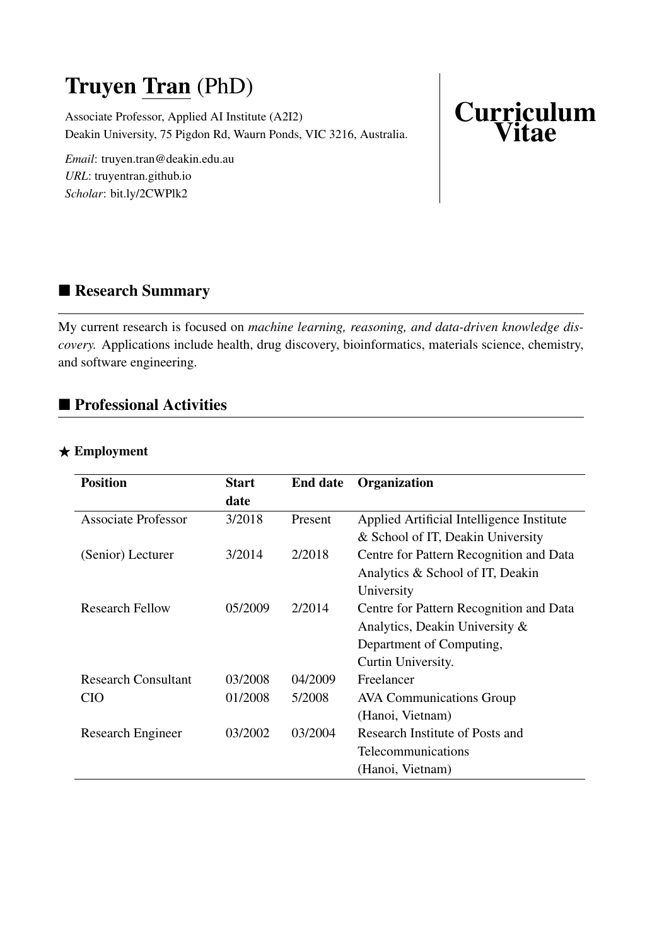# Truyen Tran (PhD)

Associate Professor, Applied AI Institute (A2I2) Deakin University, 75 Pigdon Rd, Waurn Ponds, VIC 3216, Australia.

*Email*: truyen.tran@deakin.edu.au *URL*: truyentran.github.io *Scholar*: bit.ly/2CWPlk2

# **Curriculum** Vitae

# ■ Research Summary

My current research is focused on *machine learning, reasoning, and data-driven knowledge discovery.* Applications include health, drug discovery, bioinformatics, materials science, chemistry, and software engineering.

# ■ Professional Activities

### $\star$  Employment

| <b>Position</b>            | <b>Start</b> | <b>End date</b> | Organization                              |
|----------------------------|--------------|-----------------|-------------------------------------------|
|                            | date         |                 |                                           |
| Associate Professor        | 3/2018       | Present         | Applied Artificial Intelligence Institute |
|                            |              |                 | & School of IT, Deakin University         |
| (Senior) Lecturer          | 3/2014       | 2/2018          | Centre for Pattern Recognition and Data   |
|                            |              |                 | Analytics & School of IT, Deakin          |
|                            |              |                 | University                                |
| <b>Research Fellow</b>     | 05/2009      | 2/2014          | Centre for Pattern Recognition and Data   |
|                            |              |                 | Analytics, Deakin University &            |
|                            |              |                 | Department of Computing,                  |
|                            |              |                 | Curtin University.                        |
| <b>Research Consultant</b> | 03/2008      | 04/2009         | Freelancer                                |
| <b>CIO</b>                 | 01/2008      | 5/2008          | <b>AVA Communications Group</b>           |
|                            |              |                 | (Hanoi, Vietnam)                          |
| <b>Research Engineer</b>   | 03/2002      | 03/2004         | Research Institute of Posts and           |
|                            |              |                 | Telecommunications                        |
|                            |              |                 | (Hanoi, Vietnam)                          |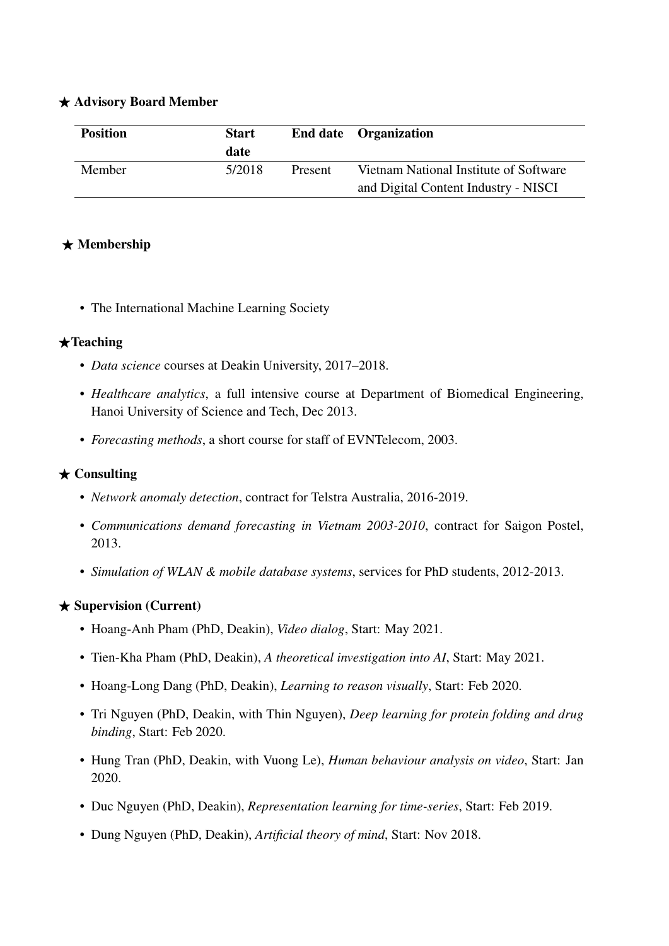#### $\star$  Advisory Board Member

| <b>Position</b> | <b>Start</b><br>date |                | End date Organization                  |
|-----------------|----------------------|----------------|----------------------------------------|
| Member          | 5/2018               | <b>Present</b> | Vietnam National Institute of Software |
|                 |                      |                | and Digital Content Industry - NISCI   |

### $\star$  Membership

• The International Machine Learning Society

#### $\bigstar$ Teaching

- *Data science* courses at Deakin University, 2017–2018.
- *Healthcare analytics*, a full intensive course at Department of Biomedical Engineering, Hanoi University of Science and Tech, Dec 2013.
- *Forecasting methods*, a short course for staff of EVNTelecom, 2003.

#### $\star$  Consulting

- *Network anomaly detection*, contract for Telstra Australia, 2016-2019.
- *Communications demand forecasting in Vietnam 2003-2010*, contract for Saigon Postel, 2013.
- *Simulation of WLAN & mobile database systems*, services for PhD students, 2012-2013.

#### $\star$  Supervision (Current)

- Hoang-Anh Pham (PhD, Deakin), *Video dialog*, Start: May 2021.
- Tien-Kha Pham (PhD, Deakin), *A theoretical investigation into AI*, Start: May 2021.
- Hoang-Long Dang (PhD, Deakin), *Learning to reason visually*, Start: Feb 2020.
- Tri Nguyen (PhD, Deakin, with Thin Nguyen), *Deep learning for protein folding and drug binding*, Start: Feb 2020.
- Hung Tran (PhD, Deakin, with Vuong Le), *Human behaviour analysis on video*, Start: Jan 2020.
- Duc Nguyen (PhD, Deakin), *Representation learning for time-series*, Start: Feb 2019.
- Dung Nguyen (PhD, Deakin), *Artificial theory of mind*, Start: Nov 2018.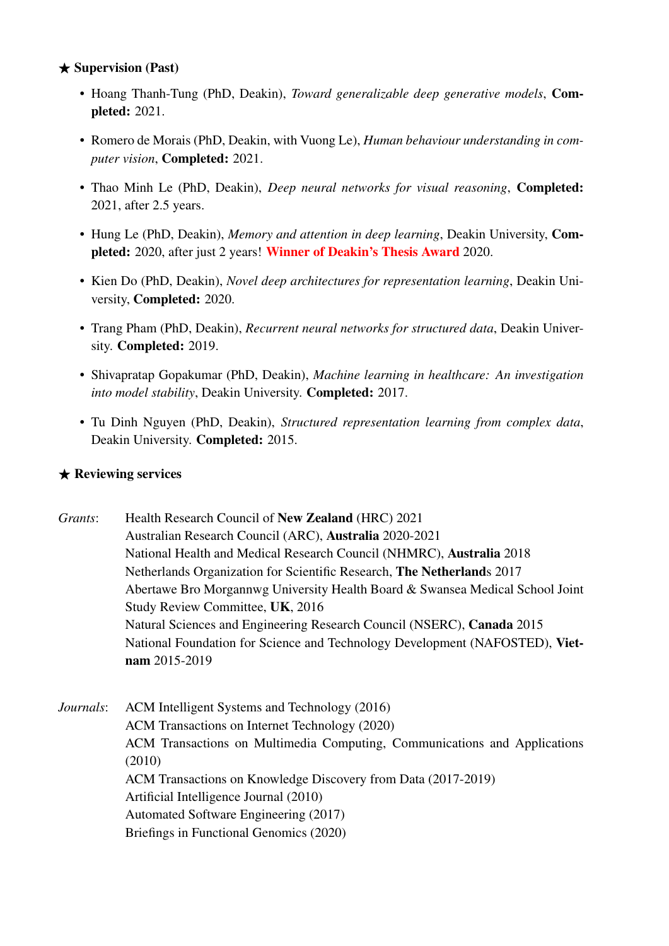#### $\star$  Supervision (Past)

- Hoang Thanh-Tung (PhD, Deakin), *Toward generalizable deep generative models*, Completed: 2021.
- Romero de Morais (PhD, Deakin, with Vuong Le), *Human behaviour understanding in computer vision*, Completed: 2021.
- Thao Minh Le (PhD, Deakin), *Deep neural networks for visual reasoning*, Completed: 2021, after 2.5 years.
- Hung Le (PhD, Deakin), *Memory and attention in deep learning*, Deakin University, Completed: 2020, after just 2 years! Winner of Deakin's Thesis Award 2020.
- Kien Do (PhD, Deakin), *Novel deep architectures for representation learning*, Deakin University, Completed: 2020.
- Trang Pham (PhD, Deakin), *Recurrent neural networks for structured data*, Deakin University. Completed: 2019.
- Shivapratap Gopakumar (PhD, Deakin), *Machine learning in healthcare: An investigation into model stability*, Deakin University. Completed: 2017.
- Tu Dinh Nguyen (PhD, Deakin), *Structured representation learning from complex data*, Deakin University. Completed: 2015.

#### $\star$  Reviewing services

*Grants*: Health Research Council of New Zealand (HRC) 2021 Australian Research Council (ARC), Australia 2020-2021 National Health and Medical Research Council (NHMRC), Australia 2018 Netherlands Organization for Scientific Research, The Netherlands 2017 Abertawe Bro Morgannwg University Health Board & Swansea Medical School Joint Study Review Committee, UK, 2016 Natural Sciences and Engineering Research Council (NSERC), Canada 2015 National Foundation for Science and Technology Development (NAFOSTED), Vietnam 2015-2019

*Journals*: ACM Intelligent Systems and Technology (2016) ACM Transactions on Internet Technology (2020) ACM Transactions on Multimedia Computing, Communications and Applications (2010) ACM Transactions on Knowledge Discovery from Data (2017-2019) Artificial Intelligence Journal (2010) Automated Software Engineering (2017) Briefings in Functional Genomics (2020)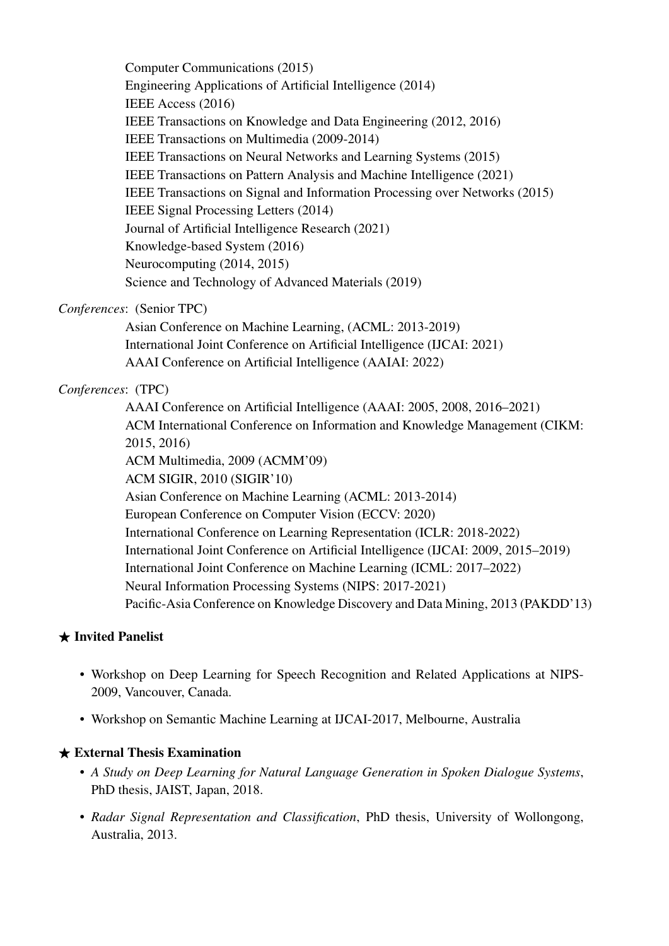Computer Communications (2015) Engineering Applications of Artificial Intelligence (2014) IEEE Access (2016) IEEE Transactions on Knowledge and Data Engineering (2012, 2016) IEEE Transactions on Multimedia (2009-2014) IEEE Transactions on Neural Networks and Learning Systems (2015) IEEE Transactions on Pattern Analysis and Machine Intelligence (2021) IEEE Transactions on Signal and Information Processing over Networks (2015) IEEE Signal Processing Letters (2014) Journal of Artificial Intelligence Research (2021) Knowledge-based System (2016) Neurocomputing (2014, 2015) Science and Technology of Advanced Materials (2019)

#### *Conferences*: (Senior TPC)

Asian Conference on Machine Learning, (ACML: 2013-2019) International Joint Conference on Artificial Intelligence (IJCAI: 2021) AAAI Conference on Artificial Intelligence (AAIAI: 2022)

#### *Conferences*: (TPC)

AAAI Conference on Artificial Intelligence (AAAI: 2005, 2008, 2016–2021) ACM International Conference on Information and Knowledge Management (CIKM: 2015, 2016) ACM Multimedia, 2009 (ACMM'09) ACM SIGIR, 2010 (SIGIR'10) Asian Conference on Machine Learning (ACML: 2013-2014) European Conference on Computer Vision (ECCV: 2020) International Conference on Learning Representation (ICLR: 2018-2022) International Joint Conference on Artificial Intelligence (IJCAI: 2009, 2015–2019) International Joint Conference on Machine Learning (ICML: 2017–2022) Neural Information Processing Systems (NIPS: 2017-2021) Pacific-Asia Conference on Knowledge Discovery and Data Mining, 2013 (PAKDD'13)

#### $\star$  Invited Panelist

- Workshop on Deep Learning for Speech Recognition and Related Applications at NIPS-2009, Vancouver, Canada.
- Workshop on Semantic Machine Learning at IJCAI-2017, Melbourne, Australia

#### $\star$  External Thesis Examination

- *A Study on Deep Learning for Natural Language Generation in Spoken Dialogue Systems*, PhD thesis, JAIST, Japan, 2018.
- *Radar Signal Representation and Classification*, PhD thesis, University of Wollongong, Australia, 2013.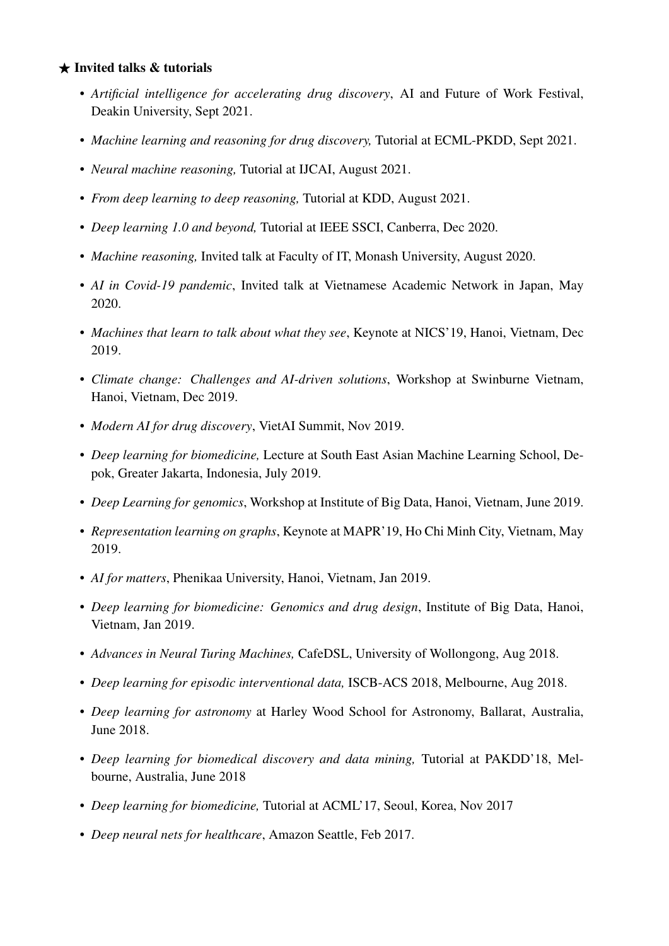#### $\star$  Invited talks & tutorials

- *Artificial intelligence for accelerating drug discovery*, AI and Future of Work Festival, Deakin University, Sept 2021.
- *Machine learning and reasoning for drug discovery,* Tutorial at ECML-PKDD, Sept 2021.
- *Neural machine reasoning,* Tutorial at IJCAI, August 2021.
- *From deep learning to deep reasoning,* Tutorial at KDD, August 2021.
- *Deep learning 1.0 and beyond,* Tutorial at IEEE SSCI, Canberra, Dec 2020.
- *Machine reasoning,* Invited talk at Faculty of IT, Monash University, August 2020.
- *AI in Covid-19 pandemic*, Invited talk at Vietnamese Academic Network in Japan, May 2020.
- *Machines that learn to talk about what they see*, Keynote at NICS'19, Hanoi, Vietnam, Dec 2019.
- *Climate change: Challenges and AI-driven solutions*, Workshop at Swinburne Vietnam, Hanoi, Vietnam, Dec 2019.
- *Modern AI for drug discovery*, VietAI Summit, Nov 2019.
- *Deep learning for biomedicine,* Lecture at South East Asian Machine Learning School, Depok, Greater Jakarta, Indonesia, July 2019.
- *Deep Learning for genomics*, Workshop at Institute of Big Data, Hanoi, Vietnam, June 2019.
- *Representation learning on graphs*, Keynote at MAPR'19, Ho Chi Minh City, Vietnam, May 2019.
- *AI for matters*, Phenikaa University, Hanoi, Vietnam, Jan 2019.
- *Deep learning for biomedicine: Genomics and drug design*, Institute of Big Data, Hanoi, Vietnam, Jan 2019.
- *Advances in Neural Turing Machines,* CafeDSL, University of Wollongong, Aug 2018.
- *Deep learning for episodic interventional data,* ISCB-ACS 2018, Melbourne, Aug 2018.
- *Deep learning for astronomy* at Harley Wood School for Astronomy, Ballarat, Australia, June 2018.
- *Deep learning for biomedical discovery and data mining,* Tutorial at PAKDD'18, Melbourne, Australia, June 2018
- *Deep learning for biomedicine,* Tutorial at ACML'17, Seoul, Korea, Nov 2017
- *Deep neural nets for healthcare*, Amazon Seattle, Feb 2017.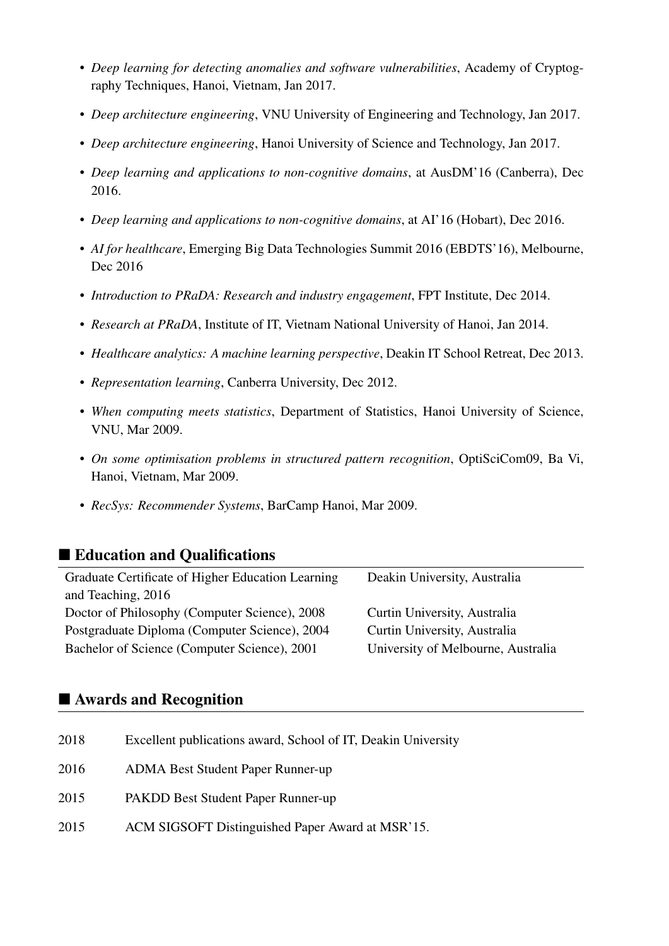- *Deep learning for detecting anomalies and software vulnerabilities*, Academy of Cryptography Techniques, Hanoi, Vietnam, Jan 2017.
- *Deep architecture engineering*, VNU University of Engineering and Technology, Jan 2017.
- *Deep architecture engineering*, Hanoi University of Science and Technology, Jan 2017.
- *Deep learning and applications to non-cognitive domains*, at AusDM'16 (Canberra), Dec 2016.
- *Deep learning and applications to non-cognitive domains*, at AI'16 (Hobart), Dec 2016.
- *AI for healthcare*, Emerging Big Data Technologies Summit 2016 (EBDTS'16), Melbourne, Dec 2016
- *Introduction to PRaDA: Research and industry engagement*, FPT Institute, Dec 2014.
- *Research at PRaDA*, Institute of IT, Vietnam National University of Hanoi, Jan 2014.
- *Healthcare analytics: A machine learning perspective*, Deakin IT School Retreat, Dec 2013.
- *Representation learning*, Canberra University, Dec 2012.
- *When computing meets statistics*, Department of Statistics, Hanoi University of Science, VNU, Mar 2009.
- *On some optimisation problems in structured pattern recognition*, OptiSciCom09, Ba Vi, Hanoi, Vietnam, Mar 2009.
- *RecSys: Recommender Systems*, BarCamp Hanoi, Mar 2009.

# ■ Education and Qualifications

| Graduate Certificate of Higher Education Learning | Deakin University, Australia       |
|---------------------------------------------------|------------------------------------|
| and Teaching, 2016                                |                                    |
| Doctor of Philosophy (Computer Science), 2008     | Curtin University, Australia       |
| Postgraduate Diploma (Computer Science), 2004     | Curtin University, Australia       |
| Bachelor of Science (Computer Science), 2001      | University of Melbourne, Australia |
|                                                   |                                    |

## ■ Awards and Recognition

| 2018 | Excellent publications award, School of IT, Deakin University |
|------|---------------------------------------------------------------|
| 2016 | <b>ADMA Best Student Paper Runner-up</b>                      |
| 2015 | PAKDD Best Student Paper Runner-up                            |
| 2015 | ACM SIGSOFT Distinguished Paper Award at MSR'15.              |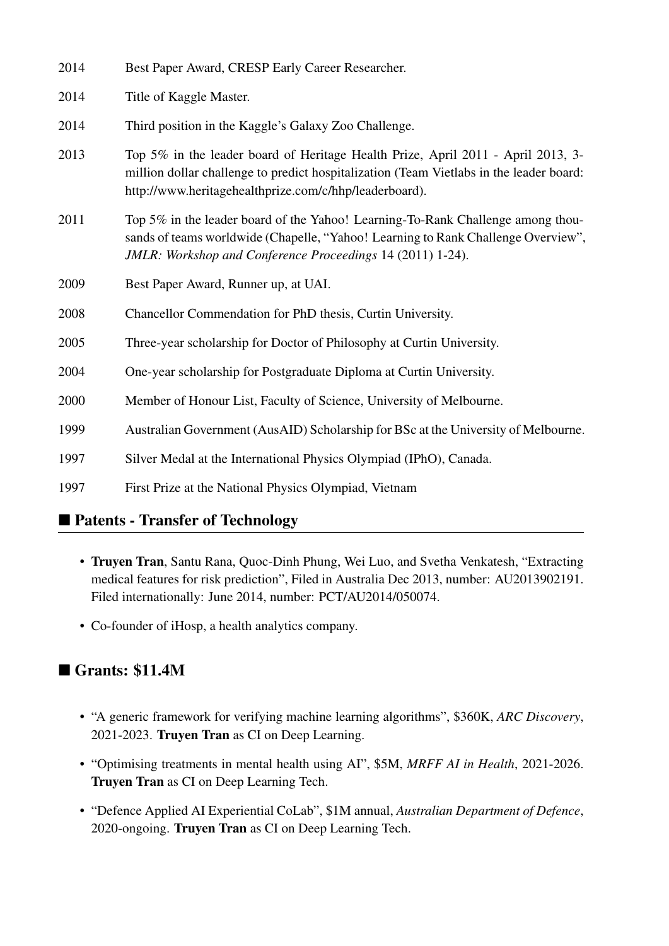| 2014 | Best Paper Award, CRESP Early Career Researcher.                                                                                                                                                                                      |
|------|---------------------------------------------------------------------------------------------------------------------------------------------------------------------------------------------------------------------------------------|
| 2014 | Title of Kaggle Master.                                                                                                                                                                                                               |
| 2014 | Third position in the Kaggle's Galaxy Zoo Challenge.                                                                                                                                                                                  |
| 2013 | Top 5% in the leader board of Heritage Health Prize, April 2011 - April 2013, 3-<br>million dollar challenge to predict hospitalization (Team Vietlabs in the leader board:<br>http://www.heritagehealthprize.com/c/hhp/leaderboard). |
| 2011 | Top 5% in the leader board of the Yahoo! Learning-To-Rank Challenge among thou-<br>sands of teams worldwide (Chapelle, "Yahoo! Learning to Rank Challenge Overview",<br>JMLR: Workshop and Conference Proceedings 14 (2011) 1-24).    |
| 2009 | Best Paper Award, Runner up, at UAI.                                                                                                                                                                                                  |
| 2008 | Chancellor Commendation for PhD thesis, Curtin University.                                                                                                                                                                            |
| 2005 | Three-year scholarship for Doctor of Philosophy at Curtin University.                                                                                                                                                                 |
| 2004 | One-year scholarship for Postgraduate Diploma at Curtin University.                                                                                                                                                                   |
| 2000 | Member of Honour List, Faculty of Science, University of Melbourne.                                                                                                                                                                   |
| 1999 | Australian Government (AusAID) Scholarship for BSc at the University of Melbourne.                                                                                                                                                    |
| 1997 | Silver Medal at the International Physics Olympiad (IPhO), Canada.                                                                                                                                                                    |
| 1997 | First Prize at the National Physics Olympiad, Vietnam                                                                                                                                                                                 |

# ■ Patents - Transfer of Technology

- Truyen Tran, Santu Rana, Quoc-Dinh Phung, Wei Luo, and Svetha Venkatesh, "Extracting medical features for risk prediction", Filed in Australia Dec 2013, number: AU2013902191. Filed internationally: June 2014, number: PCT/AU2014/050074.
- Co-founder of iHosp, a health analytics company.

# ■ Grants: \$11.4M

- "A generic framework for verifying machine learning algorithms", \$360K, *ARC Discovery*, 2021-2023. Truyen Tran as CI on Deep Learning.
- "Optimising treatments in mental health using AI", \$5M, *MRFF AI in Health*, 2021-2026. Truyen Tran as CI on Deep Learning Tech.
- "Defence Applied AI Experiential CoLab", \$1M annual, *Australian Department of Defence*, 2020-ongoing. Truyen Tran as CI on Deep Learning Tech.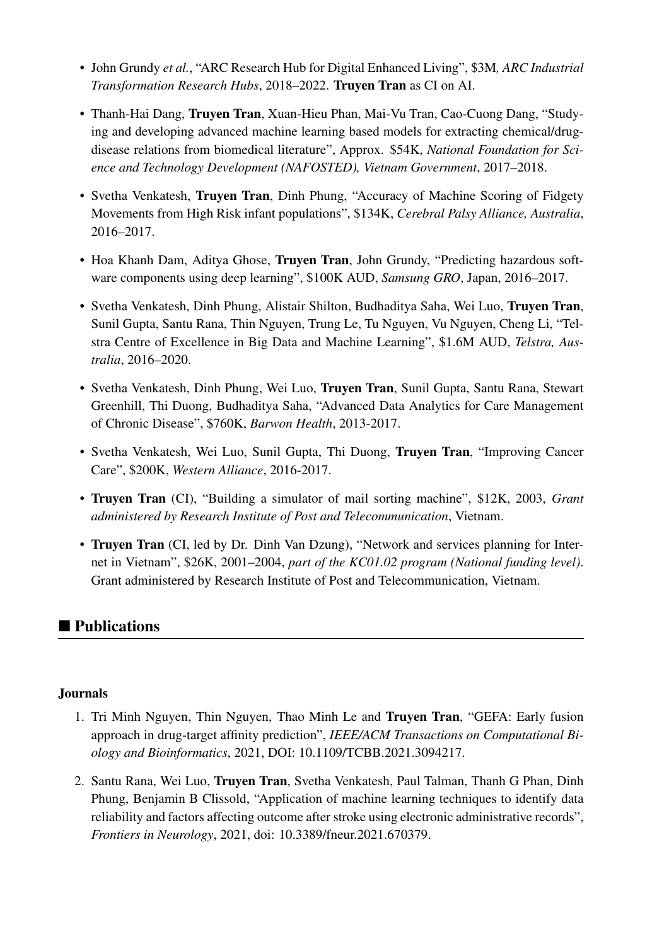- John Grundy *et al.*, "ARC Research Hub for Digital Enhanced Living", \$3M*, ARC Industrial Transformation Research Hubs*, 2018–2022. Truyen Tran as CI on AI.
- Thanh-Hai Dang, Truyen Tran, Xuan-Hieu Phan, Mai-Vu Tran, Cao-Cuong Dang, "Studying and developing advanced machine learning based models for extracting chemical/drugdisease relations from biomedical literature", Approx. \$54K, *National Foundation for Science and Technology Development (NAFOSTED), Vietnam Government*, 2017–2018.
- Svetha Venkatesh, Truyen Tran, Dinh Phung, "Accuracy of Machine Scoring of Fidgety Movements from High Risk infant populations", \$134K, *Cerebral Palsy Alliance, Australia*, 2016–2017.
- Hoa Khanh Dam, Aditya Ghose, Truyen Tran, John Grundy, "Predicting hazardous software components using deep learning", \$100K AUD, *Samsung GRO*, Japan, 2016–2017.
- Svetha Venkatesh, Dinh Phung, Alistair Shilton, Budhaditya Saha, Wei Luo, Truyen Tran, Sunil Gupta, Santu Rana, Thin Nguyen, Trung Le, Tu Nguyen, Vu Nguyen, Cheng Li, "Telstra Centre of Excellence in Big Data and Machine Learning", \$1.6M AUD, *Telstra, Australia*, 2016–2020.
- Svetha Venkatesh, Dinh Phung, Wei Luo, Truyen Tran, Sunil Gupta, Santu Rana, Stewart Greenhill, Thi Duong, Budhaditya Saha, "Advanced Data Analytics for Care Management of Chronic Disease", \$760K, *Barwon Health*, 2013-2017.
- Svetha Venkatesh, Wei Luo, Sunil Gupta, Thi Duong, Truyen Tran, "Improving Cancer Care", \$200K, *Western Alliance*, 2016-2017.
- Truyen Tran (CI), "Building a simulator of mail sorting machine", \$12K, 2003, *Grant administered by Research Institute of Post and Telecommunication*, Vietnam.
- Truyen Tran (CI, led by Dr. Dinh Van Dzung), "Network and services planning for Internet in Vietnam", \$26K, 2001–2004, *part of the KC01.02 program (National funding level)*. Grant administered by Research Institute of Post and Telecommunication, Vietnam.

# ■ Publications

#### Journals

- 1. Tri Minh Nguyen, Thin Nguyen, Thao Minh Le and Truyen Tran, "GEFA: Early fusion approach in drug-target affinity prediction", *IEEE/ACM Transactions on Computational Biology and Bioinformatics*, 2021, DOI: 10.1109/TCBB.2021.3094217.
- 2. Santu Rana, Wei Luo, Truyen Tran, Svetha Venkatesh, Paul Talman, Thanh G Phan, Dinh Phung, Benjamin B Clissold, "Application of machine learning techniques to identify data reliability and factors affecting outcome after stroke using electronic administrative records", *Frontiers in Neurology*, 2021, doi: 10.3389/fneur.2021.670379.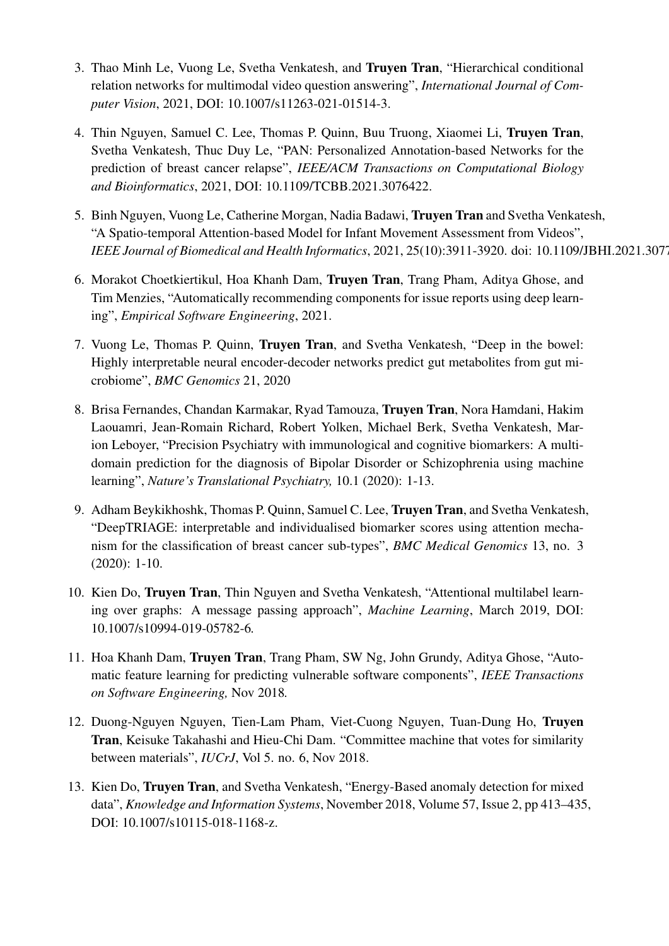- 3. Thao Minh Le, Vuong Le, Svetha Venkatesh, and Truyen Tran, "Hierarchical conditional relation networks for multimodal video question answering", *International Journal of Computer Vision*, 2021, DOI: 10.1007/s11263-021-01514-3.
- 4. Thin Nguyen, Samuel C. Lee, Thomas P. Quinn, Buu Truong, Xiaomei Li, Truyen Tran, Svetha Venkatesh, Thuc Duy Le, "PAN: Personalized Annotation-based Networks for the prediction of breast cancer relapse", *IEEE/ACM Transactions on Computational Biology and Bioinformatics*, 2021, DOI: 10.1109/TCBB.2021.3076422.
- 5. Binh Nguyen, Vuong Le, Catherine Morgan, Nadia Badawi, Truyen Tran and Svetha Venkatesh, "A Spatio-temporal Attention-based Model for Infant Movement Assessment from Videos", *IEEE Journal of Biomedical and Health Informatics*, 2021, 25(10):3911-3920. doi: 10.1109/JBHI.2021.307
- 6. Morakot Choetkiertikul, Hoa Khanh Dam, Truyen Tran, Trang Pham, Aditya Ghose, and Tim Menzies, "Automatically recommending components for issue reports using deep learning", *Empirical Software Engineering*, 2021.
- 7. Vuong Le, Thomas P. Quinn, Truyen Tran, and Svetha Venkatesh, "Deep in the bowel: Highly interpretable neural encoder-decoder networks predict gut metabolites from gut microbiome", *BMC Genomics* 21, 2020
- 8. Brisa Fernandes, Chandan Karmakar, Ryad Tamouza, Truyen Tran, Nora Hamdani, Hakim Laouamri, Jean-Romain Richard, Robert Yolken, Michael Berk, Svetha Venkatesh, Marion Leboyer, "Precision Psychiatry with immunological and cognitive biomarkers: A multidomain prediction for the diagnosis of Bipolar Disorder or Schizophrenia using machine learning", *Nature's Translational Psychiatry,* 10.1 (2020): 1-13.
- 9. Adham Beykikhoshk, Thomas P. Quinn, Samuel C. Lee, Truyen Tran, and Svetha Venkatesh, "DeepTRIAGE: interpretable and individualised biomarker scores using attention mechanism for the classification of breast cancer sub-types", *BMC Medical Genomics* 13, no. 3 (2020): 1-10.
- 10. Kien Do, Truyen Tran, Thin Nguyen and Svetha Venkatesh, "Attentional multilabel learning over graphs: A message passing approach", *Machine Learning*, March 2019, DOI: 10.1007/s10994-019-05782-6*.*
- 11. Hoa Khanh Dam, Truyen Tran, Trang Pham, SW Ng, John Grundy, Aditya Ghose, "Automatic feature learning for predicting vulnerable software components", *IEEE Transactions on Software Engineering,* Nov 2018*.*
- 12. Duong-Nguyen Nguyen, Tien-Lam Pham, Viet-Cuong Nguyen, Tuan-Dung Ho, Truyen Tran, Keisuke Takahashi and Hieu-Chi Dam. "Committee machine that votes for similarity between materials", *IUCrJ*, Vol 5. no. 6, Nov 2018.
- 13. Kien Do, Truyen Tran, and Svetha Venkatesh, "Energy-Based anomaly detection for mixed data", *Knowledge and Information Systems*, November 2018, Volume 57, Issue 2, pp 413–435, DOI: 10.1007/s10115-018-1168-z.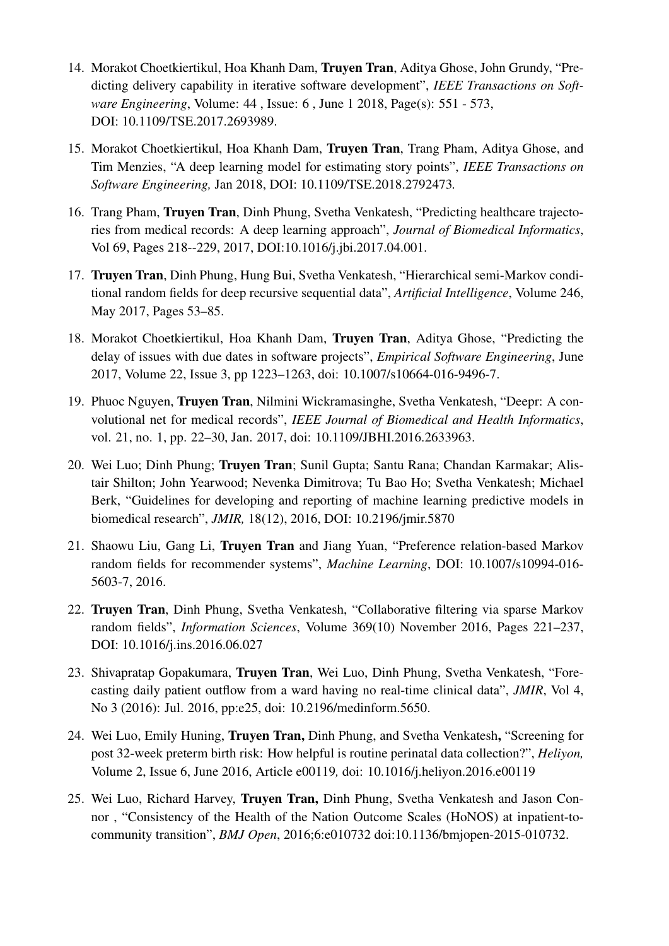- 14. Morakot Choetkiertikul, Hoa Khanh Dam, Truyen Tran, Aditya Ghose, John Grundy, "Predicting delivery capability in iterative software development", *IEEE Transactions on Software Engineering*, Volume: 44 , Issue: 6 , June 1 2018, Page(s): 551 - 573, DOI: 10.1109/TSE.2017.2693989.
- 15. Morakot Choetkiertikul, Hoa Khanh Dam, Truyen Tran, Trang Pham, Aditya Ghose, and Tim Menzies, "A deep learning model for estimating story points", *IEEE Transactions on Software Engineering,* Jan 2018, DOI: 10.1109/TSE.2018.2792473*.*
- 16. Trang Pham, Truyen Tran, Dinh Phung, Svetha Venkatesh, "Predicting healthcare trajectories from medical records: A deep learning approach", *Journal of Biomedical Informatics*, Vol 69, Pages 218--229, 2017, DOI:10.1016/j.jbi.2017.04.001.
- 17. Truyen Tran, Dinh Phung, Hung Bui, Svetha Venkatesh, "Hierarchical semi-Markov conditional random fields for deep recursive sequential data", *Artificial Intelligence*, Volume 246, May 2017, Pages 53–85.
- 18. Morakot Choetkiertikul, Hoa Khanh Dam, Truyen Tran, Aditya Ghose, "Predicting the delay of issues with due dates in software projects", *Empirical Software Engineering*, June 2017, Volume 22, Issue 3, pp 1223–1263, doi: 10.1007/s10664-016-9496-7.
- 19. Phuoc Nguyen, Truyen Tran, Nilmini Wickramasinghe, Svetha Venkatesh, "Deepr: A convolutional net for medical records", *IEEE Journal of Biomedical and Health Informatics*, vol. 21, no. 1, pp. 22–30, Jan. 2017, doi: 10.1109/JBHI.2016.2633963.
- 20. Wei Luo; Dinh Phung; Truyen Tran; Sunil Gupta; Santu Rana; Chandan Karmakar; Alistair Shilton; John Yearwood; Nevenka Dimitrova; Tu Bao Ho; Svetha Venkatesh; Michael Berk, "Guidelines for developing and reporting of machine learning predictive models in biomedical research", *JMIR,* 18(12), 2016, DOI: 10.2196/jmir.5870
- 21. Shaowu Liu, Gang Li, Truyen Tran and Jiang Yuan, "Preference relation-based Markov random fields for recommender systems", *Machine Learning*, DOI: 10.1007/s10994-016- 5603-7, 2016.
- 22. Truyen Tran, Dinh Phung, Svetha Venkatesh, "Collaborative filtering via sparse Markov random fields", *Information Sciences*, Volume 369(10) November 2016, Pages 221–237, DOI: 10.1016/j.ins.2016.06.027
- 23. Shivapratap Gopakumara, Truyen Tran, Wei Luo, Dinh Phung, Svetha Venkatesh, "Forecasting daily patient outflow from a ward having no real-time clinical data", *JMIR*, Vol 4, No 3 (2016): Jul. 2016, pp:e25, doi: 10.2196/medinform.5650.
- 24. Wei Luo, Emily Huning, Truyen Tran, Dinh Phung, and Svetha Venkatesh, "Screening for post 32-week preterm birth risk: How helpful is routine perinatal data collection?", *Heliyon,* Volume 2, Issue 6, June 2016, Article e00119*,* doi: 10.1016/j.heliyon.2016.e00119
- 25. Wei Luo, Richard Harvey, Truyen Tran, Dinh Phung, Svetha Venkatesh and Jason Connor , "Consistency of the Health of the Nation Outcome Scales (HoNOS) at inpatient-tocommunity transition", *BMJ Open*, 2016;6:e010732 doi:10.1136/bmjopen-2015-010732.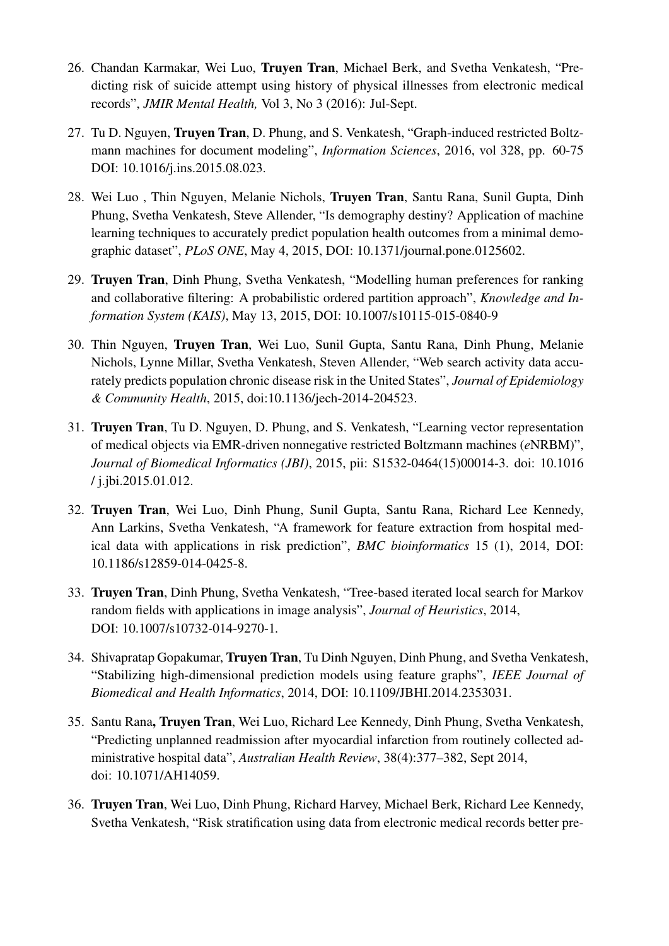- 26. Chandan Karmakar, Wei Luo, Truyen Tran, Michael Berk, and Svetha Venkatesh, "Predicting risk of suicide attempt using history of physical illnesses from electronic medical records", *JMIR Mental Health,* Vol 3, No 3 (2016): Jul-Sept.
- 27. Tu D. Nguyen, Truyen Tran, D. Phung, and S. Venkatesh, "Graph-induced restricted Boltzmann machines for document modeling", *Information Sciences*, 2016, vol 328, pp. 60-75 DOI: 10.1016/j.ins.2015.08.023.
- 28. Wei Luo , Thin Nguyen, Melanie Nichols, Truyen Tran, Santu Rana, Sunil Gupta, Dinh Phung, Svetha Venkatesh, Steve Allender, "Is demography destiny? Application of machine learning techniques to accurately predict population health outcomes from a minimal demographic dataset", *PLoS ONE*, May 4, 2015, DOI: 10.1371/journal.pone.0125602.
- 29. Truyen Tran, Dinh Phung, Svetha Venkatesh, "Modelling human preferences for ranking and collaborative filtering: A probabilistic ordered partition approach", *Knowledge and Information System (KAIS)*, May 13, 2015, DOI: 10.1007/s10115-015-0840-9
- 30. Thin Nguyen, Truyen Tran, Wei Luo, Sunil Gupta, Santu Rana, Dinh Phung, Melanie Nichols, Lynne Millar, Svetha Venkatesh, Steven Allender, "Web search activity data accurately predicts population chronic disease risk in the United States", *Journal of Epidemiology & Community Health*, 2015, doi:10.1136/jech-2014-204523.
- 31. Truyen Tran, Tu D. Nguyen, D. Phung, and S. Venkatesh, "Learning vector representation of medical objects via EMR-driven nonnegative restricted Boltzmann machines (*e*NRBM)", *Journal of Biomedical Informatics (JBI)*, 2015, pii: S1532-0464(15)00014-3. doi: 10.1016 / j.jbi.2015.01.012.
- 32. Truyen Tran, Wei Luo, Dinh Phung, Sunil Gupta, Santu Rana, Richard Lee Kennedy, Ann Larkins, Svetha Venkatesh, "A framework for feature extraction from hospital medical data with applications in risk prediction", *BMC bioinformatics* 15 (1), 2014, DOI: 10.1186/s12859-014-0425-8.
- 33. Truyen Tran, Dinh Phung, Svetha Venkatesh, "Tree-based iterated local search for Markov random fields with applications in image analysis", *Journal of Heuristics*, 2014, DOI: 10.1007/s10732-014-9270-1*.*
- 34. Shivapratap Gopakumar, Truyen Tran, Tu Dinh Nguyen, Dinh Phung, and Svetha Venkatesh, "Stabilizing high-dimensional prediction models using feature graphs", *IEEE Journal of Biomedical and Health Informatics*, 2014, DOI: 10.1109/JBHI.2014.2353031.
- 35. Santu Rana, Truyen Tran, Wei Luo, Richard Lee Kennedy, Dinh Phung, Svetha Venkatesh, "Predicting unplanned readmission after myocardial infarction from routinely collected administrative hospital data", *Australian Health Review*, 38(4):377–382, Sept 2014, doi: 10.1071/AH14059.
- 36. Truyen Tran, Wei Luo, Dinh Phung, Richard Harvey, Michael Berk, Richard Lee Kennedy, Svetha Venkatesh, "Risk stratification using data from electronic medical records better pre-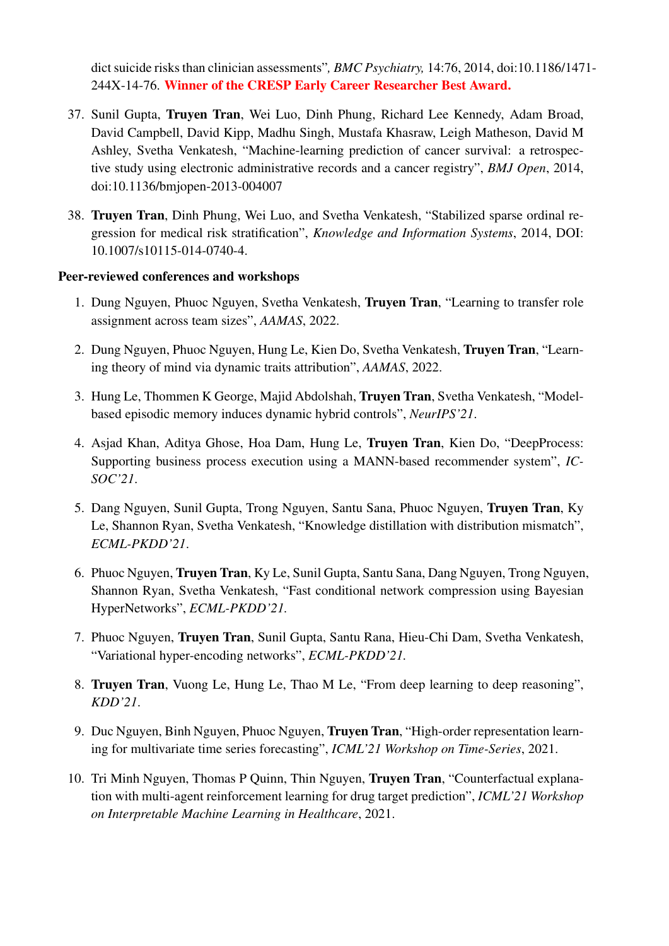dict suicide risks than clinician assessments"*, BMC Psychiatry,* 14:76, 2014, doi:10.1186/1471- 244X-14-76. Winner of the CRESP Early Career Researcher Best Award.

- 37. Sunil Gupta, Truyen Tran, Wei Luo, Dinh Phung, Richard Lee Kennedy, Adam Broad, David Campbell, David Kipp, Madhu Singh, Mustafa Khasraw, Leigh Matheson, David M Ashley, Svetha Venkatesh, "Machine-learning prediction of cancer survival: a retrospective study using electronic administrative records and a cancer registry", *BMJ Open*, 2014, doi:10.1136/bmjopen-2013-004007
- 38. Truyen Tran, Dinh Phung, Wei Luo, and Svetha Venkatesh, "Stabilized sparse ordinal regression for medical risk stratification", *Knowledge and Information Systems*, 2014, DOI: 10.1007/s10115-014-0740-4.

#### Peer-reviewed conferences and workshops

- 1. Dung Nguyen, Phuoc Nguyen, Svetha Venkatesh, Truyen Tran, "Learning to transfer role assignment across team sizes", *AAMAS*, 2022.
- 2. Dung Nguyen, Phuoc Nguyen, Hung Le, Kien Do, Svetha Venkatesh, Truyen Tran, "Learning theory of mind via dynamic traits attribution", *AAMAS*, 2022.
- 3. Hung Le, Thommen K George, Majid Abdolshah, Truyen Tran, Svetha Venkatesh, "Modelbased episodic memory induces dynamic hybrid controls", *NeurIPS'21*.
- 4. Asjad Khan, Aditya Ghose, Hoa Dam, Hung Le, Truyen Tran, Kien Do, "DeepProcess: Supporting business process execution using a MANN-based recommender system", *IC-SOC'21*.
- 5. Dang Nguyen, Sunil Gupta, Trong Nguyen, Santu Sana, Phuoc Nguyen, Truyen Tran, Ky Le, Shannon Ryan, Svetha Venkatesh, "Knowledge distillation with distribution mismatch", *ECML-PKDD'21*.
- 6. Phuoc Nguyen, Truyen Tran, Ky Le, Sunil Gupta, Santu Sana, Dang Nguyen, Trong Nguyen, Shannon Ryan, Svetha Venkatesh, "Fast conditional network compression using Bayesian HyperNetworks", *ECML-PKDD'21.*
- 7. Phuoc Nguyen, Truyen Tran, Sunil Gupta, Santu Rana, Hieu-Chi Dam, Svetha Venkatesh, "Variational hyper-encoding networks", *ECML-PKDD'21.*
- 8. Truyen Tran, Vuong Le, Hung Le, Thao M Le, "From deep learning to deep reasoning", *KDD'21*.
- 9. Duc Nguyen, Binh Nguyen, Phuoc Nguyen, Truyen Tran, "High-order representation learning for multivariate time series forecasting", *ICML'21 Workshop on Time-Series*, 2021.
- 10. Tri Minh Nguyen, Thomas P Quinn, Thin Nguyen, Truyen Tran, "Counterfactual explanation with multi-agent reinforcement learning for drug target prediction", *ICML'21 Workshop on Interpretable Machine Learning in Healthcare*, 2021.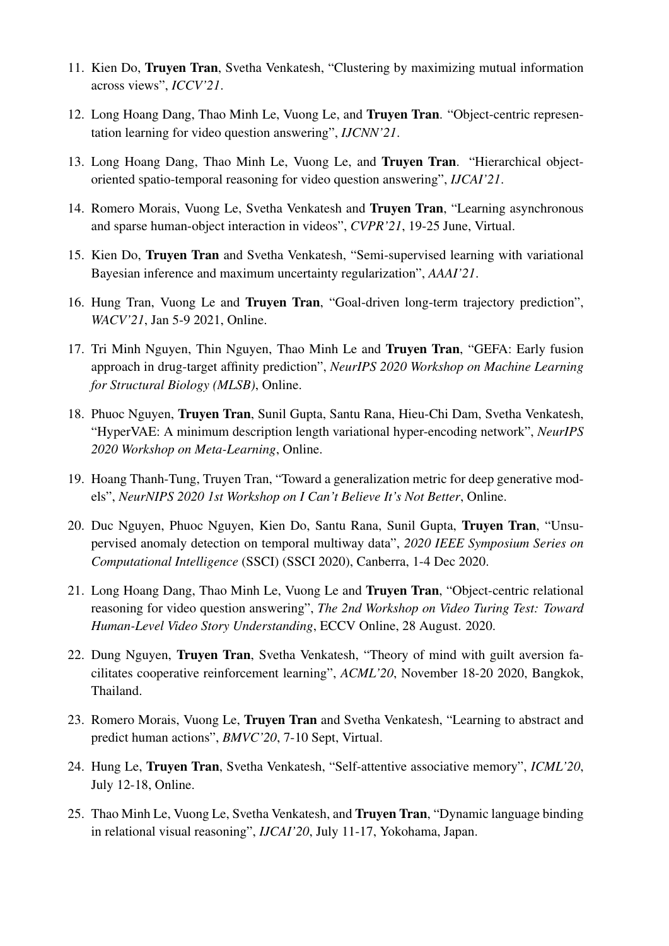- 11. Kien Do, Truyen Tran, Svetha Venkatesh, "Clustering by maximizing mutual information across views", *ICCV'21*.
- 12. Long Hoang Dang, Thao Minh Le, Vuong Le, and Truyen Tran. "Object-centric representation learning for video question answering", *IJCNN'21*.
- 13. Long Hoang Dang, Thao Minh Le, Vuong Le, and Truyen Tran. "Hierarchical objectoriented spatio-temporal reasoning for video question answering", *IJCAI'21*.
- 14. Romero Morais, Vuong Le, Svetha Venkatesh and Truyen Tran, "Learning asynchronous and sparse human-object interaction in videos", *CVPR'21*, 19-25 June, Virtual.
- 15. Kien Do, Truyen Tran and Svetha Venkatesh, "Semi-supervised learning with variational Bayesian inference and maximum uncertainty regularization", *AAAI'21*.
- 16. Hung Tran, Vuong Le and Truyen Tran, "Goal-driven long-term trajectory prediction", *WACV'21*, Jan 5-9 2021, Online.
- 17. Tri Minh Nguyen, Thin Nguyen, Thao Minh Le and Truyen Tran, "GEFA: Early fusion approach in drug-target affinity prediction", *NeurIPS 2020 Workshop on Machine Learning for Structural Biology (MLSB)*, Online.
- 18. Phuoc Nguyen, Truyen Tran, Sunil Gupta, Santu Rana, Hieu-Chi Dam, Svetha Venkatesh, "HyperVAE: A minimum description length variational hyper-encoding network", *NeurIPS 2020 Workshop on Meta-Learning*, Online.
- 19. Hoang Thanh-Tung, Truyen Tran, "Toward a generalization metric for deep generative models", *NeurNIPS 2020 1st Workshop on I Can't Believe It's Not Better*, Online.
- 20. Duc Nguyen, Phuoc Nguyen, Kien Do, Santu Rana, Sunil Gupta, Truyen Tran, "Unsupervised anomaly detection on temporal multiway data", *2020 IEEE Symposium Series on Computational Intelligence* (SSCI) (SSCI 2020), Canberra, 1-4 Dec 2020.
- 21. Long Hoang Dang, Thao Minh Le, Vuong Le and Truyen Tran, "Object-centric relational reasoning for video question answering", *The 2nd Workshop on Video Turing Test: Toward Human-Level Video Story Understanding*, ECCV Online, 28 August. 2020.
- 22. Dung Nguyen, Truyen Tran, Svetha Venkatesh, "Theory of mind with guilt aversion facilitates cooperative reinforcement learning", *ACML'20*, November 18-20 2020, Bangkok, Thailand.
- 23. Romero Morais, Vuong Le, Truyen Tran and Svetha Venkatesh, "Learning to abstract and predict human actions", *BMVC'20*, 7-10 Sept, Virtual.
- 24. Hung Le, Truyen Tran, Svetha Venkatesh, "Self-attentive associative memory", *ICML'20*, July 12-18, Online.
- 25. Thao Minh Le, Vuong Le, Svetha Venkatesh, and Truyen Tran, "Dynamic language binding in relational visual reasoning", *IJCAI'20*, July 11-17, Yokohama, Japan.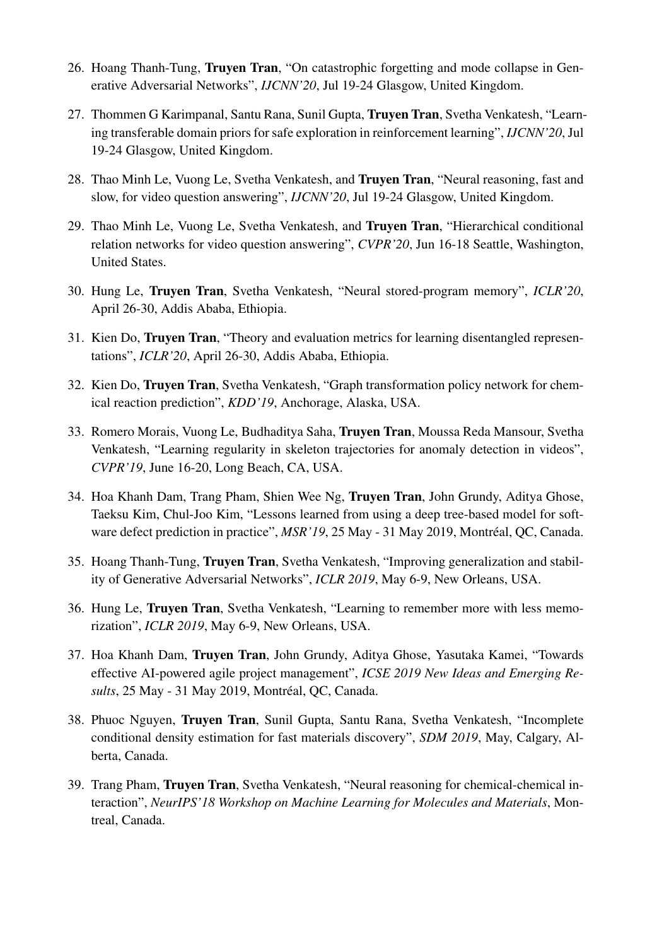- 26. Hoang Thanh-Tung, Truyen Tran, "On catastrophic forgetting and mode collapse in Generative Adversarial Networks", *IJCNN'20*, Jul 19-24 Glasgow, United Kingdom.
- 27. Thommen G Karimpanal, Santu Rana, Sunil Gupta, Truyen Tran, Svetha Venkatesh, "Learning transferable domain priors for safe exploration in reinforcement learning", *IJCNN'20*, Jul 19-24 Glasgow, United Kingdom.
- 28. Thao Minh Le, Vuong Le, Svetha Venkatesh, and Truyen Tran, "Neural reasoning, fast and slow, for video question answering", *IJCNN'20*, Jul 19-24 Glasgow, United Kingdom.
- 29. Thao Minh Le, Vuong Le, Svetha Venkatesh, and Truyen Tran, "Hierarchical conditional relation networks for video question answering", *CVPR'20*, Jun 16-18 Seattle, Washington, United States.
- 30. Hung Le, Truyen Tran, Svetha Venkatesh, "Neural stored-program memory", *ICLR'20*, April 26-30, Addis Ababa, Ethiopia.
- 31. Kien Do, Truyen Tran, "Theory and evaluation metrics for learning disentangled representations", *ICLR'20*, April 26-30, Addis Ababa, Ethiopia.
- 32. Kien Do, Truyen Tran, Svetha Venkatesh, "Graph transformation policy network for chemical reaction prediction", *KDD'19*, Anchorage, Alaska, USA.
- 33. Romero Morais, Vuong Le, Budhaditya Saha, Truyen Tran, Moussa Reda Mansour, Svetha Venkatesh, "Learning regularity in skeleton trajectories for anomaly detection in videos", *CVPR'19*, June 16-20, Long Beach, CA, USA.
- 34. Hoa Khanh Dam, Trang Pham, Shien Wee Ng, Truyen Tran, John Grundy, Aditya Ghose, Taeksu Kim, Chul-Joo Kim, "Lessons learned from using a deep tree-based model for software defect prediction in practice", *MSR'19*, 25 May - 31 May 2019, Montréal, QC, Canada.
- 35. Hoang Thanh-Tung, Truyen Tran, Svetha Venkatesh, "Improving generalization and stability of Generative Adversarial Networks", *ICLR 2019*, May 6-9, New Orleans, USA.
- 36. Hung Le, Truyen Tran, Svetha Venkatesh, "Learning to remember more with less memorization", *ICLR 2019*, May 6-9, New Orleans, USA.
- 37. Hoa Khanh Dam, Truyen Tran, John Grundy, Aditya Ghose, Yasutaka Kamei, "Towards effective AI-powered agile project management", *ICSE 2019 New Ideas and Emerging Results*, 25 May - 31 May 2019, Montréal, QC, Canada.
- 38. Phuoc Nguyen, Truyen Tran, Sunil Gupta, Santu Rana, Svetha Venkatesh, "Incomplete conditional density estimation for fast materials discovery", *SDM 2019*, May, Calgary, Alberta, Canada.
- 39. Trang Pham, Truyen Tran, Svetha Venkatesh, "Neural reasoning for chemical-chemical interaction", *NeurIPS'18 Workshop on Machine Learning for Molecules and Materials*, Montreal, Canada.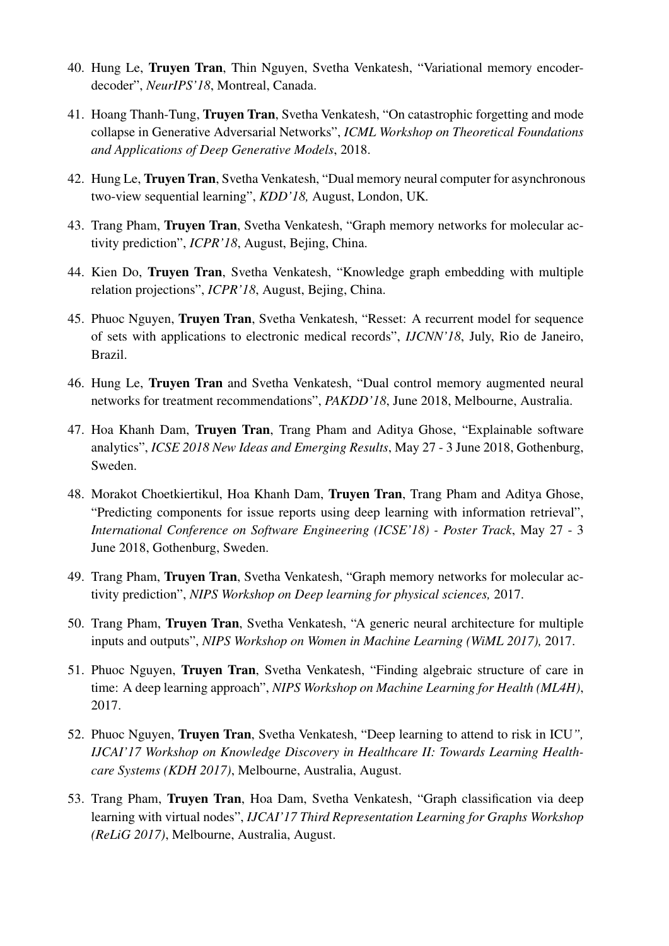- 40. Hung Le, Truyen Tran, Thin Nguyen, Svetha Venkatesh, "Variational memory encoderdecoder", *NeurIPS'18*, Montreal, Canada.
- 41. Hoang Thanh-Tung, Truyen Tran, Svetha Venkatesh, "On catastrophic forgetting and mode collapse in Generative Adversarial Networks", *ICML Workshop on Theoretical Foundations and Applications of Deep Generative Models*, 2018.
- 42. Hung Le, Truyen Tran, Svetha Venkatesh, "Dual memory neural computer for asynchronous two-view sequential learning", *KDD'18,* August, London, UK*.*
- 43. Trang Pham, Truyen Tran, Svetha Venkatesh, "Graph memory networks for molecular activity prediction", *ICPR'18*, August, Bejing, China.
- 44. Kien Do, Truyen Tran, Svetha Venkatesh, "Knowledge graph embedding with multiple relation projections", *ICPR'18*, August, Bejing, China.
- 45. Phuoc Nguyen, Truyen Tran, Svetha Venkatesh, "Resset: A recurrent model for sequence of sets with applications to electronic medical records", *IJCNN'18*, July, Rio de Janeiro, Brazil.
- 46. Hung Le, Truyen Tran and Svetha Venkatesh, "Dual control memory augmented neural networks for treatment recommendations", *PAKDD'18*, June 2018, Melbourne, Australia.
- 47. Hoa Khanh Dam, Truyen Tran, Trang Pham and Aditya Ghose, "Explainable software analytics", *ICSE 2018 New Ideas and Emerging Results*, May 27 - 3 June 2018, Gothenburg, Sweden.
- 48. Morakot Choetkiertikul, Hoa Khanh Dam, Truyen Tran, Trang Pham and Aditya Ghose, "Predicting components for issue reports using deep learning with information retrieval", *International Conference on Software Engineering (ICSE'18) - Poster Track*, May 27 - 3 June 2018, Gothenburg, Sweden.
- 49. Trang Pham, Truyen Tran, Svetha Venkatesh, "Graph memory networks for molecular activity prediction", *NIPS Workshop on Deep learning for physical sciences,* 2017.
- 50. Trang Pham, Truyen Tran, Svetha Venkatesh, "A generic neural architecture for multiple inputs and outputs", *NIPS Workshop on Women in Machine Learning (WiML 2017),* 2017.
- 51. Phuoc Nguyen, Truyen Tran, Svetha Venkatesh, "Finding algebraic structure of care in time: A deep learning approach", *NIPS Workshop on Machine Learning for Health (ML4H)*, 2017.
- 52. Phuoc Nguyen, Truyen Tran, Svetha Venkatesh, "Deep learning to attend to risk in ICU*", IJCAI'17 Workshop on Knowledge Discovery in Healthcare II: Towards Learning Healthcare Systems (KDH 2017)*, Melbourne, Australia, August.
- 53. Trang Pham, Truyen Tran, Hoa Dam, Svetha Venkatesh, "Graph classification via deep learning with virtual nodes", *IJCAI'17 Third Representation Learning for Graphs Workshop (ReLiG 2017)*, Melbourne, Australia, August.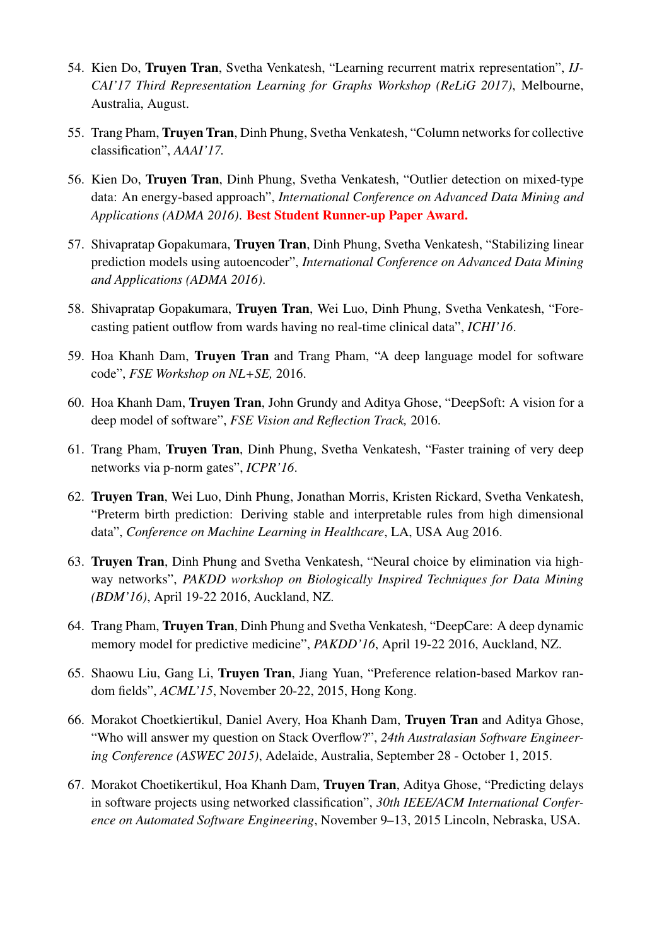- 54. Kien Do, Truyen Tran, Svetha Venkatesh, "Learning recurrent matrix representation", *IJ-CAI'17 Third Representation Learning for Graphs Workshop (ReLiG 2017)*, Melbourne, Australia, August.
- 55. Trang Pham, Truyen Tran, Dinh Phung, Svetha Venkatesh, "Column networks for collective classification", *AAAI'17.*
- 56. Kien Do, Truyen Tran, Dinh Phung, Svetha Venkatesh, "Outlier detection on mixed-type data: An energy-based approach", *International Conference on Advanced Data Mining and Applications (ADMA 2016)*. Best Student Runner-up Paper Award.
- 57. Shivapratap Gopakumara, Truyen Tran, Dinh Phung, Svetha Venkatesh, "Stabilizing linear prediction models using autoencoder", *International Conference on Advanced Data Mining and Applications (ADMA 2016)*.
- 58. Shivapratap Gopakumara, Truyen Tran, Wei Luo, Dinh Phung, Svetha Venkatesh, "Forecasting patient outflow from wards having no real-time clinical data", *ICHI'16*.
- 59. Hoa Khanh Dam, Truyen Tran and Trang Pham, "A deep language model for software code", *FSE Workshop on NL+SE,* 2016.
- 60. Hoa Khanh Dam, Truyen Tran, John Grundy and Aditya Ghose, "DeepSoft: A vision for a deep model of software", *FSE Vision and Reflection Track,* 2016.
- 61. Trang Pham, Truyen Tran, Dinh Phung, Svetha Venkatesh, "Faster training of very deep networks via p-norm gates", *ICPR'16*.
- 62. Truyen Tran, Wei Luo, Dinh Phung, Jonathan Morris, Kristen Rickard, Svetha Venkatesh, "Preterm birth prediction: Deriving stable and interpretable rules from high dimensional data", *Conference on Machine Learning in Healthcare*, LA, USA Aug 2016.
- 63. Truyen Tran, Dinh Phung and Svetha Venkatesh, "Neural choice by elimination via highway networks", *PAKDD workshop on Biologically Inspired Techniques for Data Mining (BDM'16)*, April 19-22 2016, Auckland, NZ.
- 64. Trang Pham, Truyen Tran, Dinh Phung and Svetha Venkatesh, "DeepCare: A deep dynamic memory model for predictive medicine", *PAKDD'16*, April 19-22 2016, Auckland, NZ.
- 65. Shaowu Liu, Gang Li, Truyen Tran, Jiang Yuan, "Preference relation-based Markov random fields", *ACML'15*, November 20-22, 2015, Hong Kong.
- 66. Morakot Choetkiertikul, Daniel Avery, Hoa Khanh Dam, Truyen Tran and Aditya Ghose, "Who will answer my question on Stack Overflow?", *24th Australasian Software Engineering Conference (ASWEC 2015)*, Adelaide, Australia, September 28 - October 1, 2015.
- 67. Morakot Choetikertikul, Hoa Khanh Dam, Truyen Tran, Aditya Ghose, "Predicting delays in software projects using networked classification", *30th IEEE/ACM International Conference on Automated Software Engineering*, November 9–13, 2015 Lincoln, Nebraska, USA.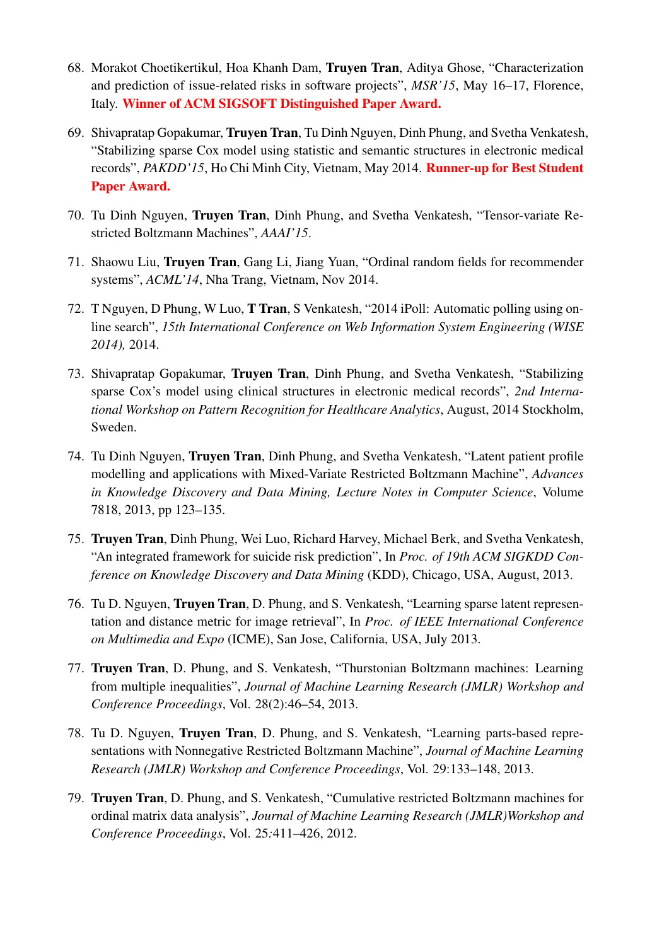- 68. Morakot Choetikertikul, Hoa Khanh Dam, Truyen Tran, Aditya Ghose, "Characterization and prediction of issue-related risks in software projects", *MSR'15*, May 16–17, Florence, Italy. Winner of ACM SIGSOFT Distinguished Paper Award.
- 69. Shivapratap Gopakumar, Truyen Tran, Tu Dinh Nguyen, Dinh Phung, and Svetha Venkatesh, "Stabilizing sparse Cox model using statistic and semantic structures in electronic medical records", *PAKDD'15*, Ho Chi Minh City, Vietnam, May 2014. Runner-up for Best Student Paper Award.
- 70. Tu Dinh Nguyen, Truyen Tran, Dinh Phung, and Svetha Venkatesh, "Tensor-variate Restricted Boltzmann Machines", *AAAI'15*.
- 71. Shaowu Liu, Truyen Tran, Gang Li, Jiang Yuan, "Ordinal random fields for recommender systems", *ACML'14*, Nha Trang, Vietnam, Nov 2014.
- 72. T Nguyen, D Phung, W Luo, T Tran, S Venkatesh, "2014 iPoll: Automatic polling using online search", *15th International Conference on Web Information System Engineering (WISE 2014),* 2014.
- 73. Shivapratap Gopakumar, Truyen Tran, Dinh Phung, and Svetha Venkatesh, "Stabilizing sparse Cox's model using clinical structures in electronic medical records", *2nd International Workshop on Pattern Recognition for Healthcare Analytics*, August, 2014 Stockholm, Sweden.
- 74. Tu Dinh Nguyen, Truyen Tran, Dinh Phung, and Svetha Venkatesh, "Latent patient profile modelling and applications with Mixed-Variate Restricted Boltzmann Machine", *Advances in Knowledge Discovery and Data Mining, Lecture Notes in Computer Science*, Volume 7818, 2013, pp 123–135.
- 75. Truyen Tran, Dinh Phung, Wei Luo, Richard Harvey, Michael Berk, and Svetha Venkatesh, "An integrated framework for suicide risk prediction", In *Proc. of 19th ACM SIGKDD Conference on Knowledge Discovery and Data Mining* (KDD), Chicago, USA, August, 2013.
- 76. Tu D. Nguyen, Truyen Tran, D. Phung, and S. Venkatesh, "Learning sparse latent representation and distance metric for image retrieval", In *Proc. of IEEE International Conference on Multimedia and Expo* (ICME), San Jose, California, USA, July 2013.
- 77. Truyen Tran, D. Phung, and S. Venkatesh, "Thurstonian Boltzmann machines: Learning from multiple inequalities", *Journal of Machine Learning Research (JMLR) Workshop and Conference Proceedings*, Vol. 28(2):46–54, 2013.
- 78. Tu D. Nguyen, Truyen Tran, D. Phung, and S. Venkatesh, "Learning parts-based representations with Nonnegative Restricted Boltzmann Machine", *Journal of Machine Learning Research (JMLR) Workshop and Conference Proceedings*, Vol. 29:133–148, 2013.
- 79. Truyen Tran, D. Phung, and S. Venkatesh, "Cumulative restricted Boltzmann machines for ordinal matrix data analysis", *Journal of Machine Learning Research (JMLR)Workshop and Conference Proceedings*, Vol. 25*:*411–426, 2012.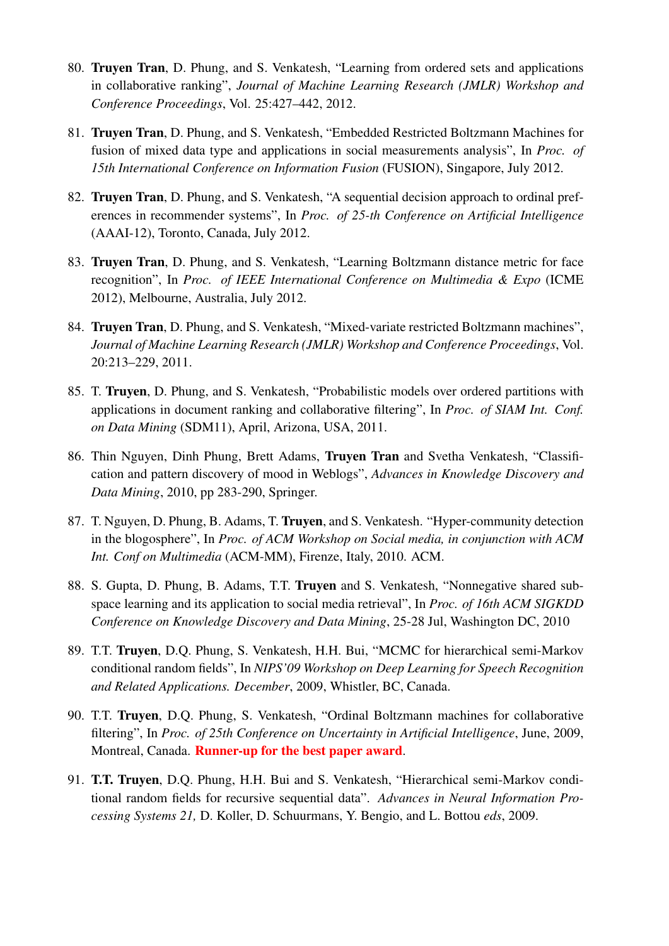- 80. Truyen Tran, D. Phung, and S. Venkatesh, "Learning from ordered sets and applications in collaborative ranking", *Journal of Machine Learning Research (JMLR) Workshop and Conference Proceedings*, Vol. 25:427–442, 2012.
- 81. Truyen Tran, D. Phung, and S. Venkatesh, "Embedded Restricted Boltzmann Machines for fusion of mixed data type and applications in social measurements analysis", In *Proc. of 15th International Conference on Information Fusion* (FUSION), Singapore, July 2012.
- 82. Truyen Tran, D. Phung, and S. Venkatesh, "A sequential decision approach to ordinal preferences in recommender systems", In *Proc. of 25-th Conference on Artificial Intelligence* (AAAI-12), Toronto, Canada, July 2012.
- 83. Truyen Tran, D. Phung, and S. Venkatesh, "Learning Boltzmann distance metric for face recognition", In *Proc. of IEEE International Conference on Multimedia & Expo* (ICME 2012), Melbourne, Australia, July 2012.
- 84. Truyen Tran, D. Phung, and S. Venkatesh, "Mixed-variate restricted Boltzmann machines", *Journal of Machine Learning Research (JMLR) Workshop and Conference Proceedings*, Vol. 20:213–229, 2011.
- 85. T. Truyen, D. Phung, and S. Venkatesh, "Probabilistic models over ordered partitions with applications in document ranking and collaborative filtering", In *Proc. of SIAM Int. Conf. on Data Mining* (SDM11), April, Arizona, USA, 2011.
- 86. Thin Nguyen, Dinh Phung, Brett Adams, Truyen Tran and Svetha Venkatesh, "Classification and pattern discovery of mood in Weblogs", *Advances in Knowledge Discovery and Data Mining*, 2010, pp 283-290, Springer.
- 87. T. Nguyen, D. Phung, B. Adams, T. Truyen, and S. Venkatesh. "Hyper-community detection in the blogosphere", In *Proc. of ACM Workshop on Social media, in conjunction with ACM Int. Conf on Multimedia* (ACM-MM), Firenze, Italy, 2010. ACM.
- 88. S. Gupta, D. Phung, B. Adams, T.T. Truyen and S. Venkatesh, "Nonnegative shared subspace learning and its application to social media retrieval", In *Proc. of 16th ACM SIGKDD Conference on Knowledge Discovery and Data Mining*, 25-28 Jul, Washington DC, 2010
- 89. T.T. Truyen, D.Q. Phung, S. Venkatesh, H.H. Bui, "MCMC for hierarchical semi-Markov conditional random fields", In *NIPS'09 Workshop on Deep Learning for Speech Recognition and Related Applications. December*, 2009, Whistler, BC, Canada.
- 90. T.T. Truyen, D.Q. Phung, S. Venkatesh, "Ordinal Boltzmann machines for collaborative filtering", In *Proc. of 25th Conference on Uncertainty in Artificial Intelligence*, June, 2009, Montreal, Canada. Runner-up for the best paper award.
- 91. T.T. Truyen, D.Q. Phung, H.H. Bui and S. Venkatesh, "Hierarchical semi-Markov conditional random fields for recursive sequential data". *Advances in Neural Information Processing Systems 21,* D. Koller, D. Schuurmans, Y. Bengio, and L. Bottou *eds*, 2009.